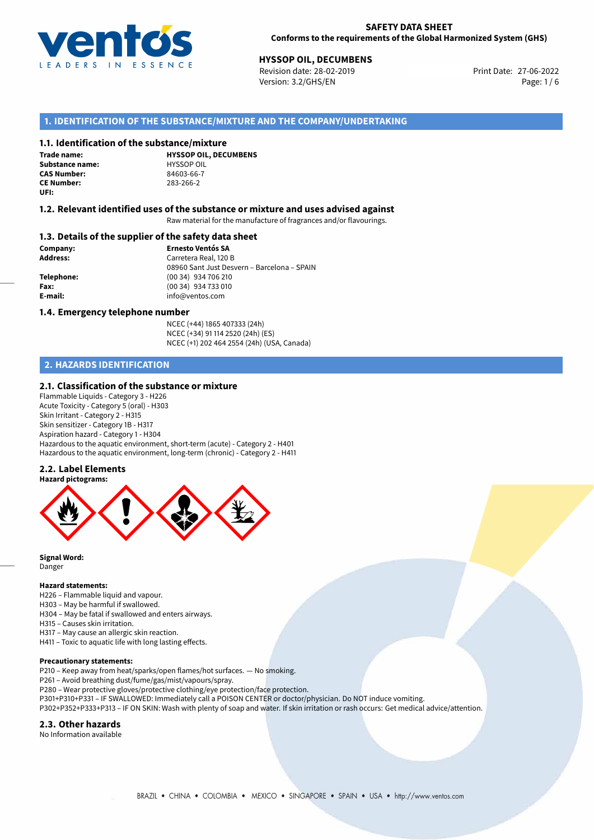

Revision date: 28-02-2019 Version: 3.2/GHS/EN Page: 1 / 6

## **1. IDENTIFICATION OF THE SUBSTANCE/MIXTURE AND THE COMPANY/UNDERTAKING**

#### **1.1. Identification of the substance/mixture**

**Trade name: Substance name:** HYSSOP OIL<br> **CAS Number:** 24603-66-7 **CE Number:** 283-266-2 **UFI:**

**HYSSOP OIL, DECUMBENS CAS Number:** 84603-66-7

#### **1.2. Relevant identified uses of the substance or mixture and uses advised against**

Raw material for the manufacture of fragrances and/or flavourings.

#### **1.3. Details of the supplier of the safety data sheet**

**Company: Ernesto Ventós SA Address:** Carretera Real, 120 B 08960 Sant Just Desvern – Barcelona – SPAIN **Telephone:** (00 34) 934 706 210 **Fax:** (00 34) 934 733 010 **E-mail:** info@ventos.com

#### **1.4. Emergency telephone number**

NCEC (+44) 1865 407333 (24h) NCEC (+34) 91 114 2520 (24h) (ES) NCEC (+1) 202 464 2554 (24h) (USA, Canada)

# **2. HAZARDS IDENTIFICATION**

#### **2.1. Classification of the substance or mixture**

Flammable Liquids - Category 3 - H226 Acute Toxicity - Category 5 (oral) - H303 Skin Irritant - Category 2 - H315 Skin sensitizer - Category 1B - H317 Aspiration hazard - Category 1 - H304 Hazardous to the aquatic environment, short-term (acute) - Category 2 - H401 Hazardous to the aquatic environment, long-term (chronic) - Category 2 - H411

#### **2.2. Label Elements**



**Signal Word:** Danger

#### **Hazard statements:**

H226 – Flammable liquid and vapour.

- H303 May be harmful if swallowed.
- H304 May be fatal if swallowed and enters airways.
- H315 Causes skin irritation.
- H317 May cause an allergic skin reaction.
- H411 Toxic to aquatic life with long lasting effects.

#### **Precautionary statements:**

P210 – Keep away from heat/sparks/open flames/hot surfaces. — No smoking.

- P261 Avoid breathing dust/fume/gas/mist/vapours/spray.
- P280 Wear protective gloves/protective clothing/eye protection/face protection.
- P301+P310+P331 IF SWALLOWED: Immediately call a POISON CENTER or doctor/physician. Do NOT induce vomiting.
- P302+P352+P333+P313 IF ON SKIN: Wash with plenty of soap and water. If skin irritation or rash occurs: Get medical advice/attention.

### **2.3. Other hazards**

No Information available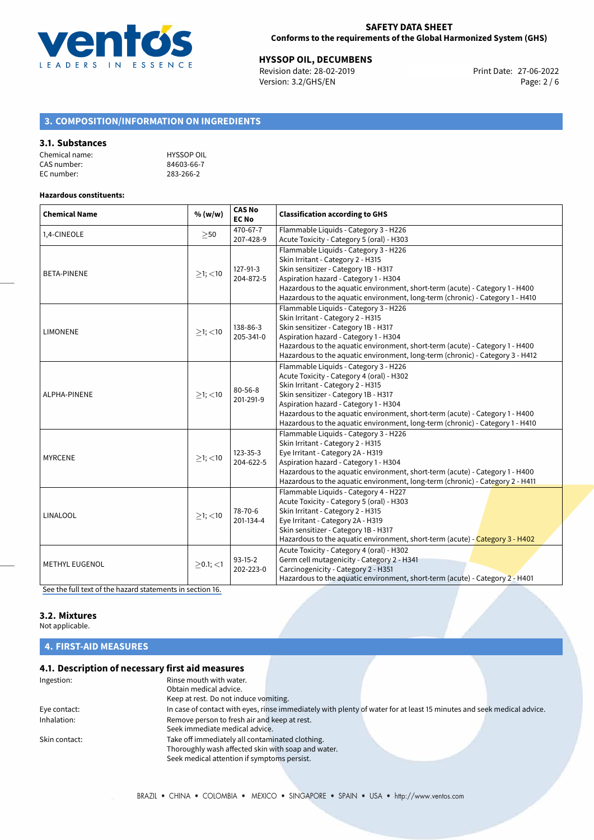

**HYSSOP OIL, DECUMBENS**<br>
Revision date: 28-02-2019 **Print Date: 27-06-2022** Version: 3.2/GHS/EN Page: 2 / 6

# **3. COMPOSITION/INFORMATION ON INGREDIENTS**

#### **3.1. Substances**

| Chemical name: | <b>HYSSOP OIL</b> |
|----------------|-------------------|
| CAS number:    | 84603-66-7        |
| EC number:     | 283-266-2         |

#### **Hazardous constituents:**

| <b>Chemical Name</b>  | % (w/w)       | <b>CAS No</b><br><b>EC No</b> | <b>Classification according to GHS</b>                                                                                                                                                                                                                                                                                                                                    |
|-----------------------|---------------|-------------------------------|---------------------------------------------------------------------------------------------------------------------------------------------------------------------------------------------------------------------------------------------------------------------------------------------------------------------------------------------------------------------------|
| 1,4-CINEOLE           | >50           | 470-67-7<br>207-428-9         | Flammable Liquids - Category 3 - H226<br>Acute Toxicity - Category 5 (oral) - H303                                                                                                                                                                                                                                                                                        |
| <b>BETA-PINENE</b>    | $>1$ ; $<$ 10 | 127-91-3<br>204-872-5         | Flammable Liquids - Category 3 - H226<br>Skin Irritant - Category 2 - H315<br>Skin sensitizer - Category 1B - H317<br>Aspiration hazard - Category 1 - H304<br>Hazardous to the aquatic environment, short-term (acute) - Category 1 - H400<br>Hazardous to the aquatic environment, long-term (chronic) - Category 1 - H410                                              |
| <b>LIMONENE</b>       | $>1$ ; <10    | 138-86-3<br>205-341-0         | Flammable Liquids - Category 3 - H226<br>Skin Irritant - Category 2 - H315<br>Skin sensitizer - Category 1B - H317<br>Aspiration hazard - Category 1 - H304<br>Hazardous to the aquatic environment, short-term (acute) - Category 1 - H400<br>Hazardous to the aquatic environment, long-term (chronic) - Category 3 - H412                                              |
| ALPHA-PINENE          | $>1$ ; $<$ 10 | 80-56-8<br>201-291-9          | Flammable Liquids - Category 3 - H226<br>Acute Toxicity - Category 4 (oral) - H302<br>Skin Irritant - Category 2 - H315<br>Skin sensitizer - Category 1B - H317<br>Aspiration hazard - Category 1 - H304<br>Hazardous to the aquatic environment, short-term (acute) - Category 1 - H400<br>Hazardous to the aquatic environment, long-term (chronic) - Category 1 - H410 |
| <b>MYRCENE</b>        | $>1$ ; <10    | 123-35-3<br>204-622-5         | Flammable Liquids - Category 3 - H226<br>Skin Irritant - Category 2 - H315<br>Eye Irritant - Category 2A - H319<br>Aspiration hazard - Category 1 - H304<br>Hazardous to the aquatic environment, short-term (acute) - Category 1 - H400<br>Hazardous to the aquatic environment, long-term (chronic) - Category 2 - H411                                                 |
| LINALOOL              | $>1$ ; <10    | 78-70-6<br>201-134-4          | Flammable Liquids - Category 4 - H227<br>Acute Toxicity - Category 5 (oral) - H303<br>Skin Irritant - Category 2 - H315<br>Eye Irritant - Category 2A - H319<br>Skin sensitizer - Category 1B - H317<br>Hazardous to the aquatic environment, short-term (acute) - Category 3 - H402                                                                                      |
| <b>METHYL EUGENOL</b> | $>0.1$ ; <1   | $93-15-2$<br>202-223-0        | Acute Toxicity - Category 4 (oral) - H302<br>Germ cell mutagenicity - Category 2 - H341<br>Carcinogenicity - Category 2 - H351<br>Hazardous to the aquatic environment, short-term (acute) - Category 2 - H401                                                                                                                                                            |

[See the full text of the hazard statements in section 16.](#page-4-0)

# **3.2. Mixtures**

Not applicable.

**4. FIRST-AID MEASURES**

# **4.1. Description of necessary first aid measures**

| Ingestion:    | Rinse mouth with water.                            |                                                                                                                       |  |
|---------------|----------------------------------------------------|-----------------------------------------------------------------------------------------------------------------------|--|
|               | Obtain medical advice.                             |                                                                                                                       |  |
|               | Keep at rest. Do not induce vomiting.              |                                                                                                                       |  |
| Eye contact:  |                                                    | In case of contact with eyes, rinse immediately with plenty of water for at least 15 minutes and seek medical advice. |  |
| Inhalation:   | Remove person to fresh air and keep at rest.       |                                                                                                                       |  |
|               | Seek immediate medical advice.                     |                                                                                                                       |  |
| Skin contact: | Take off immediately all contaminated clothing.    |                                                                                                                       |  |
|               | Thoroughly wash affected skin with soap and water. |                                                                                                                       |  |
|               | Seek medical attention if symptoms persist.        |                                                                                                                       |  |
|               |                                                    |                                                                                                                       |  |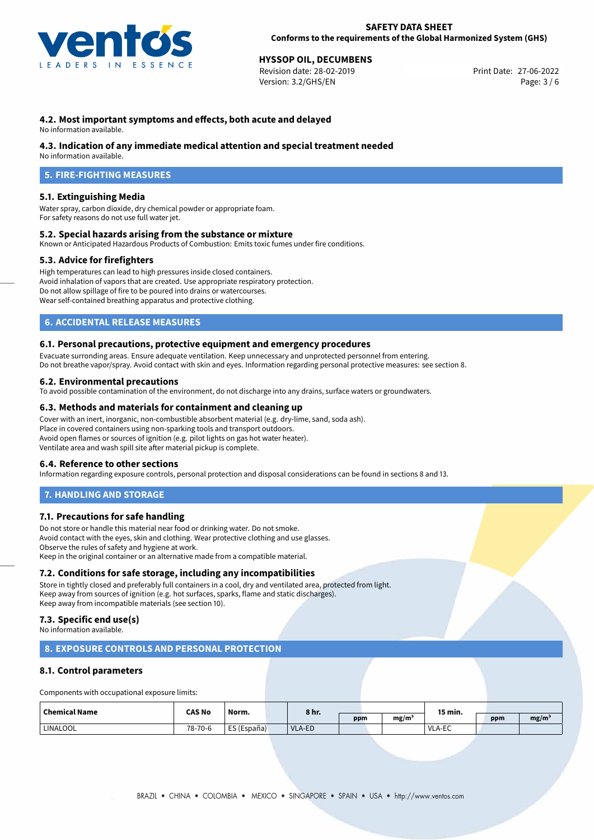

Revision date: 28-02-2019 Version: 3.2/GHS/EN Page: 3 / 6

## **4.2. Most important symptoms and effects, both acute and delayed**

No information available.

#### **4.3. Indication of any immediate medical attention and special treatment needed**

No information available.

# **5. FIRE-FIGHTING MEASURES**

#### **5.1. Extinguishing Media**

Water spray, carbon dioxide, dry chemical powder or appropriate foam. For safety reasons do not use full water jet.

#### **5.2. Special hazards arising from the substance or mixture**

Known or Anticipated Hazardous Products of Combustion: Emits toxic fumes under fire conditions.

#### **5.3. Advice for firefighters**

High temperatures can lead to high pressures inside closed containers. Avoid inhalation of vapors that are created. Use appropriate respiratory protection. Do not allow spillage of fire to be poured into drains or watercourses. Wear self-contained breathing apparatus and protective clothing.

## **6. ACCIDENTAL RELEASE MEASURES**

#### **6.1. Personal precautions, protective equipment and emergency procedures**

Evacuate surronding areas. Ensure adequate ventilation. Keep unnecessary and unprotected personnel from entering. Do not breathe vapor/spray. Avoid contact with skin and eyes. Information regarding personal protective measures: see section 8.

#### **6.2. Environmental precautions**

To avoid possible contamination of the environment, do not discharge into any drains, surface waters or groundwaters.

#### **6.3. Methods and materials for containment and cleaning up**

Cover with an inert, inorganic, non-combustible absorbent material (e.g. dry-lime, sand, soda ash). Place in covered containers using non-sparking tools and transport outdoors. Avoid open flames or sources of ignition (e.g. pilot lights on gas hot water heater). Ventilate area and wash spill site after material pickup is complete.

#### **6.4. Reference to other sections**

Information regarding exposure controls, personal protection and disposal considerations can be found in sections 8 and 13.

#### **7. HANDLING AND STORAGE**

#### **7.1. Precautions for safe handling**

Do not store or handle this material near food or drinking water. Do not smoke. Avoid contact with the eyes, skin and clothing. Wear protective clothing and use glasses. Observe the rules of safety and hygiene at work. Keep in the original container or an alternative made from a compatible material.

#### **7.2. Conditions for safe storage, including any incompatibilities**

Store in tightly closed and preferably full containers in a cool, dry and ventilated area, protected from light. Keep away from sources of ignition (e.g. hot surfaces, sparks, flame and static discharges). Keep away from incompatible materials (see section 10).

#### **7.3. Specific end use(s)**

No information available.

### **8. EXPOSURE CONTROLS AND PERSONAL PROTECTION**

#### **8.1. Control parameters**

Components with occupational exposure limits:

| <b>Chemical Name</b> | <b>CAS No</b> | Norm.       | 8 hr.  |     |                   | 15 min.                             |     |                   |
|----------------------|---------------|-------------|--------|-----|-------------------|-------------------------------------|-----|-------------------|
|                      |               |             |        | ppm | mg/m <sup>3</sup> | the contract of the contract of the | ppm | mg/m <sup>3</sup> |
| LINALOOL             | 78-70-6       | ES (España) | VLA-ED |     |                   | <b>VLA-EC</b>                       |     |                   |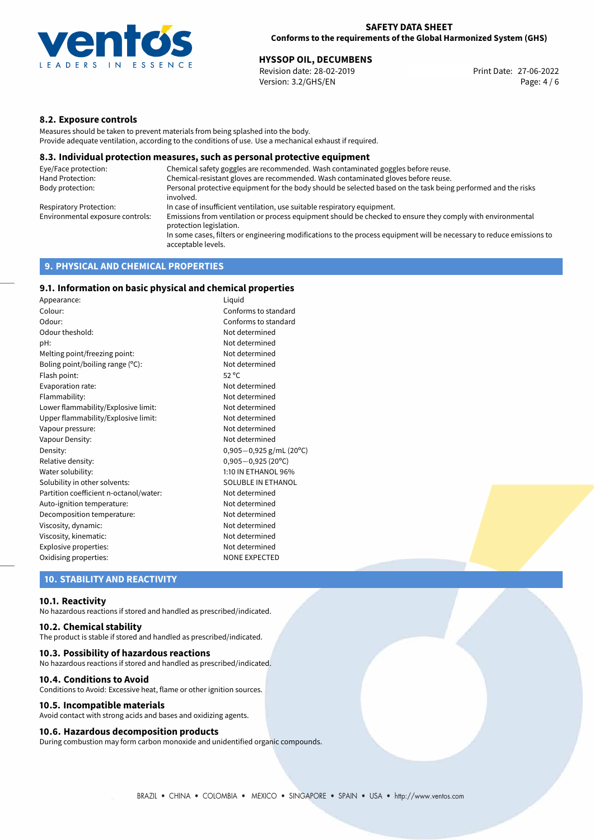

Revision date: 28-02-2019 Version: 3.2/GHS/EN Page: 4 / 6

## **8.2. Exposure controls**

Measures should be taken to prevent materials from being splashed into the body. Provide adequate ventilation, according to the conditions of use. Use a mechanical exhaust if required.

#### **8.3. Individual protection measures, such as personal protective equipment**

| Eye/Face protection:             | Chemical safety goggles are recommended. Wash contaminated goggles before reuse.                                                            |
|----------------------------------|---------------------------------------------------------------------------------------------------------------------------------------------|
| Hand Protection:                 | Chemical-resistant gloves are recommended. Wash contaminated gloves before reuse.                                                           |
| Body protection:                 | Personal protective equipment for the body should be selected based on the task being performed and the risks<br>involved.                  |
| Respiratory Protection:          | In case of insufficient ventilation, use suitable respiratory equipment.                                                                    |
| Environmental exposure controls: | Emissions from ventilation or process equipment should be checked to ensure they comply with environmental<br>protection legislation.       |
|                                  | In some cases, filters or engineering modifications to the process equipment will be necessary to reduce emissions to<br>acceptable levels. |
|                                  |                                                                                                                                             |

# **9. PHYSICAL AND CHEMICAL PROPERTIES**

## **9.1. Information on basic physical and chemical properties**

| Liguid<br>Appearance:                  |                           |
|----------------------------------------|---------------------------|
| Colour:                                | Conforms to standard      |
| Conforms to standard<br>Odour:         |                           |
| Odour theshold:                        | Not determined            |
| pH:                                    | Not determined            |
| Melting point/freezing point:          | Not determined            |
| Boling point/boiling range (°C):       | Not determined            |
| Flash point:                           | $52^{\circ}$ C            |
| Evaporation rate:                      | Not determined            |
| Flammability:                          | Not determined            |
| Lower flammability/Explosive limit:    | Not determined            |
| Upper flammability/Explosive limit:    | Not determined            |
| Vapour pressure:                       | Not determined            |
| Vapour Density:                        | Not determined            |
| Density:                               | $0,905-0,925$ g/mL (20°C) |
| Relative density:                      | $0,905 - 0,925$ (20°C)    |
| Water solubility:                      | 1:10 IN ETHANOL 96%       |
| Solubility in other solvents:          | SOLUBLE IN ETHANOL        |
| Partition coefficient n-octanol/water: | Not determined            |
| Auto-ignition temperature:             | Not determined            |
| Decomposition temperature:             | Not determined            |
| Viscosity, dynamic:                    | Not determined            |
| Viscosity, kinematic:                  | Not determined            |
| Explosive properties:                  | Not determined            |
| Oxidising properties:                  | <b>NONE EXPECTED</b>      |

#### **10. STABILITY AND REACTIVITY**

#### **10.1. Reactivity**

No hazardous reactions if stored and handled as prescribed/indicated.

### **10.2. Chemical stability**

The product is stable if stored and handled as prescribed/indicated.

#### **10.3. Possibility of hazardous reactions**

No hazardous reactions if stored and handled as prescribed/indicated.

#### **10.4. Conditions to Avoid**

Conditions to Avoid: Excessive heat, flame or other ignition sources.

#### **10.5. Incompatible materials**

Avoid contact with strong acids and bases and oxidizing agents.

#### **10.6. Hazardous decomposition products**

During combustion may form carbon monoxide and unidentified organic compounds.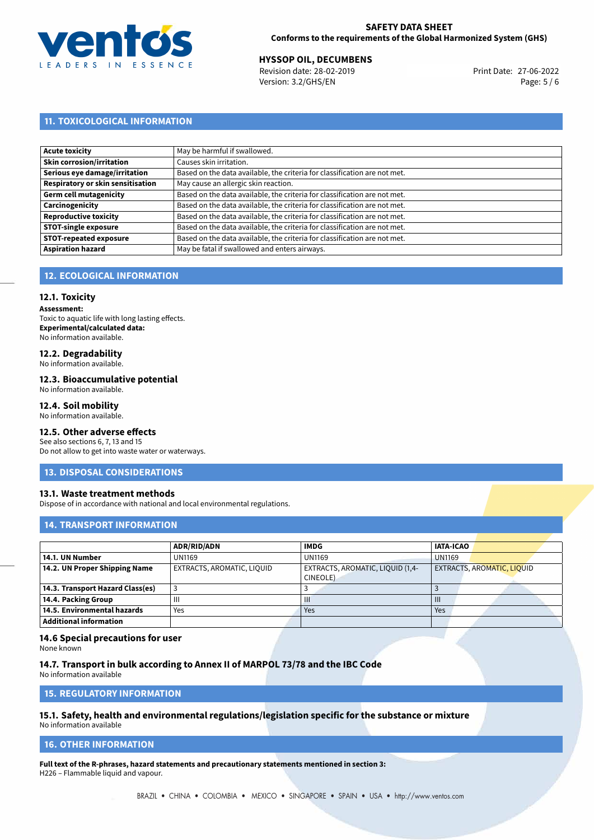

Revision date: 28-02-2019 Version: 3.2/GHS/EN Page: 5 / 6

# **11. TOXICOLOGICAL INFORMATION**

| Acute toxicity                    | May be harmful if swallowed.                                              |
|-----------------------------------|---------------------------------------------------------------------------|
| Skin corrosion/irritation         | Causes skin irritation.                                                   |
| Serious eye damage/irritation     | Based on the data available, the criteria for classification are not met. |
| Respiratory or skin sensitisation | May cause an allergic skin reaction.                                      |
| Germ cell mutagenicity            | Based on the data available, the criteria for classification are not met. |
| Carcinogenicity                   | Based on the data available, the criteria for classification are not met. |
| Reproductive toxicity             | Based on the data available, the criteria for classification are not met. |
| <b>STOT-single exposure</b>       | Based on the data available, the criteria for classification are not met. |
| <b>STOT-repeated exposure</b>     | Based on the data available, the criteria for classification are not met. |
| <b>Aspiration hazard</b>          | May be fatal if swallowed and enters airways.                             |

# **12. ECOLOGICAL INFORMATION**

#### **12.1. Toxicity**

**Assessment:** Toxic to aquatic life with long lasting effects. **Experimental/calculated data:** No information available.

# **12.2. Degradability**

No information available.

#### **12.3. Bioaccumulative potential**

No information available.

### **12.4. Soil mobility**

No information available.

# **12.5. Other adverse effects**

See also sections 6, 7, 13 and 15 Do not allow to get into waste water or waterways.

#### **13. DISPOSAL CONSIDERATIONS**

#### **13.1. Waste treatment methods**

Dispose of in accordance with national and local environmental regulations.

#### **14. TRANSPORT INFORMATION**

|                                  | ADR/RID/ADN                | <b>IMDG</b>                      | <b>IATA-ICAO</b>           |
|----------------------------------|----------------------------|----------------------------------|----------------------------|
| 14.1. UN Number                  | <b>UN1169</b>              | <b>UN1169</b>                    | <b>UN1169</b>              |
| 14.2. UN Proper Shipping Name    | EXTRACTS, AROMATIC, LIQUID | EXTRACTS, AROMATIC, LIQUID (1,4- | EXTRACTS, AROMATIC, LIQUID |
|                                  |                            | CINEOLE)                         |                            |
| 14.3. Transport Hazard Class(es) |                            |                                  |                            |
| 14.4. Packing Group              | $\mathbf{III}$             | Ш                                | $\mathbf{III}$             |
| 14.5. Environmental hazards      | Yes                        | Yes                              | Yes                        |
| <b>Additional information</b>    |                            |                                  |                            |

#### **14.6 Special precautions for user**

None known

**14.7. Transport in bulk according to Annex II of MARPOL 73/78 and the IBC Code** No information available

**15. REGULATORY INFORMATION**

# **15.1. Safety, health and environmental regulations/legislation specific for the substance or mixture**

No information available

#### <span id="page-4-0"></span>**16. OTHER INFORMATION**

**Full text of the R-phrases, hazard statements and precautionary statements mentioned in section 3:** H226 – Flammable liquid and vapour.